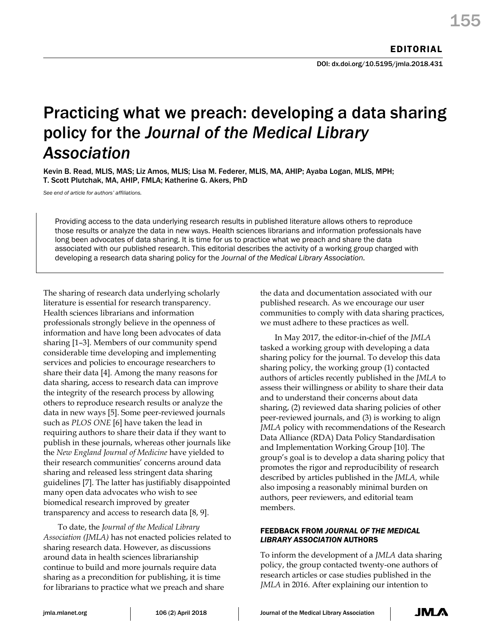DOI: dx.doi.org/10.5195/jmla.2018.431

# Practicing what we preach: developing a data sharing policy for the *Journal of the Medical Library Association*

Kevin B. Read, MLIS, MAS; Liz Amos, MLIS; Lisa M. Federer, MLIS, MA, AHIP; Ayaba Logan, MLIS, MPH; T. Scott Plutchak, MA, AHIP, FMLA; Katherine G. Akers, PhD

*See end of article for authors' affiliations.*

Providing access to the data underlying research results in published literature allows others to reproduce those results or analyze the data in new ways. Health sciences librarians and information professionals have long been advocates of data sharing. It is time for us to practice what we preach and share the data associated with our published research. This editorial describes the activity of a working group charged with developing a research data sharing policy for the *Journal of the Medical Library Association.*

The sharing of research data underlying scholarly literature is essential for research transparency. Health sciences librarians and information professionals strongly believe in the openness of information and have long been advocates of data sharing [1–3]. Members of our community spend considerable time developing and implementing services and policies to encourage researchers to share their data [4]. Among the many reasons for data sharing, access to research data can improve the integrity of the research process by allowing others to reproduce research results or analyze the data in new ways [5]. Some peer-reviewed journals such as *PLOS ONE* [6] have taken the lead in requiring authors to share their data if they want to publish in these journals, whereas other journals like the *New England Journal of Medicine* have yielded to their research communities' concerns around data sharing and released less stringent data sharing guidelines [7]. The latter has justifiably disappointed many open data advocates who wish to see biomedical research improved by greater transparency and access to research data [8, 9].

To date, the *Journal of the Medical Library Association (JMLA)* has not enacted policies related to sharing research data. However, as discussions around data in health sciences librarianship continue to build and more journals require data sharing as a precondition for publishing, it is time for librarians to practice what we preach and share

the data and documentation associated with our published research. As we encourage our user communities to comply with data sharing practices, we must adhere to these practices as well.

In May 2017, the editor-in-chief of the *JMLA* tasked a working group with developing a data sharing policy for the journal. To develop this data sharing policy, the working group (1) contacted authors of articles recently published in the *JMLA* to assess their willingness or ability to share their data and to understand their concerns about data sharing, (2) reviewed data sharing policies of other peer-reviewed journals, and (3) is working to align *JMLA* policy with recommendations of the Research Data Alliance (RDA) Data Policy Standardisation and Implementation Working Group [10]. The group's goal is to develop a data sharing policy that promotes the rigor and reproducibility of research described by articles published in the *JMLA,* while also imposing a reasonably minimal burden on authors, peer reviewers, and editorial team members.

## FEEDBACK FROM *JOURNAL OF THE MEDICAL LIBRARY ASSOCIATION* AUTHORS

To inform the development of a *JMLA* data sharing policy, the group contacted twenty-one authors of research articles or case studies published in the *JMLA* in 2016. After explaining our intention to

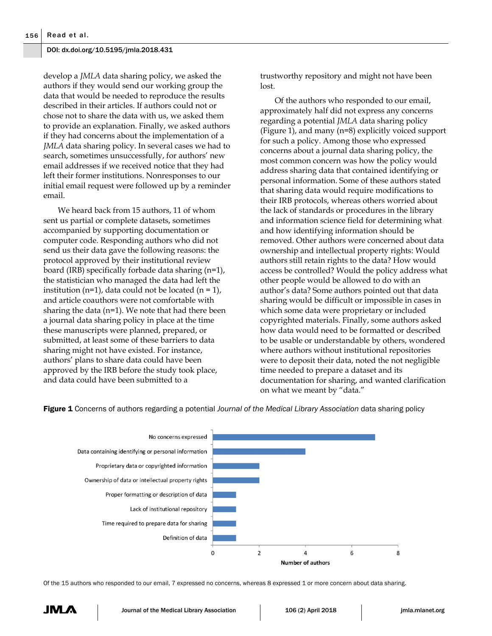#### DOI: dx.doi.org/10.5195/jmla.2018.431

develop a *JMLA* data sharing policy, we asked the authors if they would send our working group the data that would be needed to reproduce the results described in their articles. If authors could not or chose not to share the data with us, we asked them to provide an explanation. Finally, we asked authors if they had concerns about the implementation of a *JMLA* data sharing policy. In several cases we had to search, sometimes unsuccessfully, for authors' new email addresses if we received notice that they had left their former institutions. Nonresponses to our initial email request were followed up by a reminder email.

We heard back from 15 authors, 11 of whom sent us partial or complete datasets, sometimes accompanied by supporting documentation or computer code. Responding authors who did not send us their data gave the following reasons: the protocol approved by their institutional review board (IRB) specifically forbade data sharing (n=1), the statistician who managed the data had left the institution (n=1), data could not be located (n = 1), and article coauthors were not comfortable with sharing the data (n=1). We note that had there been a journal data sharing policy in place at the time these manuscripts were planned, prepared, or submitted, at least some of these barriers to data sharing might not have existed. For instance, authors' plans to share data could have been approved by the IRB before the study took place, and data could have been submitted to a

trustworthy repository and might not have been lost.

Of the authors who responded to our email, approximately half did not express any concerns regarding a potential *JMLA* data sharing policy (Figure 1), and many (n=8) explicitly voiced support for such a policy. Among those who expressed concerns about a journal data sharing policy, the most common concern was how the policy would address sharing data that contained identifying or personal information. Some of these authors stated that sharing data would require modifications to their IRB protocols, whereas others worried about the lack of standards or procedures in the library and information science field for determining what and how identifying information should be removed. Other authors were concerned about data ownership and intellectual property rights: Would authors still retain rights to the data? How would access be controlled? Would the policy address what other people would be allowed to do with an author's data? Some authors pointed out that data sharing would be difficult or impossible in cases in which some data were proprietary or included copyrighted materials. Finally, some authors asked how data would need to be formatted or described to be usable or understandable by others, wondered where authors without institutional repositories were to deposit their data, noted the not negligible time needed to prepare a dataset and its documentation for sharing, and wanted clarification on what we meant by "data."



Figure 1 Concerns of authors regarding a potential *Journal of the Medical Library Association* data sharing policy

Of the 15 authors who responded to our email, 7 expressed no concerns, whereas 8 expressed 1 or more concern about data sharing.

JM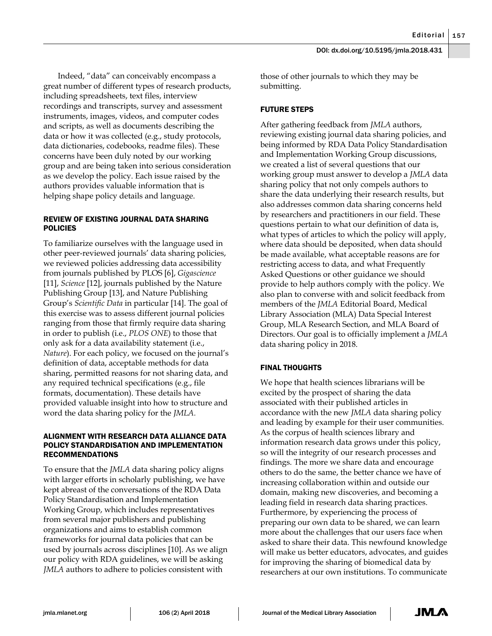Indeed, "data" can conceivably encompass a great number of different types of research products, including spreadsheets, text files, interview recordings and transcripts, survey and assessment instruments, images, videos, and computer codes and scripts, as well as documents describing the data or how it was collected (e.g., study protocols, data dictionaries, codebooks, readme files). These concerns have been duly noted by our working group and are being taken into serious consideration as we develop the policy. Each issue raised by the authors provides valuable information that is helping shape policy details and language.

# REVIEW OF EXISTING JOURNAL DATA SHARING POLICIES

To familiarize ourselves with the language used in other peer-reviewed journals' data sharing policies, we reviewed policies addressing data accessibility from journals published by PLOS [6], *Gigascience* [11], *Science* [12], journals published by the Nature Publishing Group [13], and Nature Publishing Group's *Scientific Data* in particular [14]. The goal of this exercise was to assess different journal policies ranging from those that firmly require data sharing in order to publish (i.e., *PLOS ONE*) to those that only ask for a data availability statement (i.e., *Nature*). For each policy, we focused on the journal's definition of data, acceptable methods for data sharing, permitted reasons for not sharing data, and any required technical specifications (e.g., file formats, documentation). These details have provided valuable insight into how to structure and word the data sharing policy for the *JMLA.*

## ALIGNMENT WITH RESEARCH DATA ALLIANCE DATA POLICY STANDARDISATION AND IMPLEMENTATION RECOMMENDATIONS

To ensure that the *JMLA* data sharing policy aligns with larger efforts in scholarly publishing, we have kept abreast of the conversations of the RDA Data Policy Standardisation and Implementation Working Group, which includes representatives from several major publishers and publishing organizations and aims to establish common frameworks for journal data policies that can be used by journals across disciplines [10]. As we align our policy with RDA guidelines, we will be asking *JMLA* authors to adhere to policies consistent with

those of other journals to which they may be submitting.

# FUTURE STEPS

After gathering feedback from *JMLA* authors, reviewing existing journal data sharing policies, and being informed by RDA Data Policy Standardisation and Implementation Working Group discussions, we created a list of several questions that our working group must answer to develop a *JMLA* data sharing policy that not only compels authors to share the data underlying their research results, but also addresses common data sharing concerns held by researchers and practitioners in our field. These questions pertain to what our definition of data is, what types of articles to which the policy will apply, where data should be deposited, when data should be made available, what acceptable reasons are for restricting access to data, and what Frequently Asked Questions or other guidance we should provide to help authors comply with the policy. We also plan to converse with and solicit feedback from members of the *JMLA* Editorial Board, Medical Library Association (MLA) Data Special Interest Group, MLA Research Section, and MLA Board of Directors. Our goal is to officially implement a *JMLA* data sharing policy in 2018.

# FINAL THOUGHTS

We hope that health sciences librarians will be excited by the prospect of sharing the data associated with their published articles in accordance with the new *JMLA* data sharing policy and leading by example for their user communities. As the corpus of health sciences library and information research data grows under this policy, so will the integrity of our research processes and findings. The more we share data and encourage others to do the same, the better chance we have of increasing collaboration within and outside our domain, making new discoveries, and becoming a leading field in research data sharing practices. Furthermore, by experiencing the process of preparing our own data to be shared, we can learn more about the challenges that our users face when asked to share their data. This newfound knowledge will make us better educators, advocates, and guides for improving the sharing of biomedical data by researchers at our own institutions. To communicate